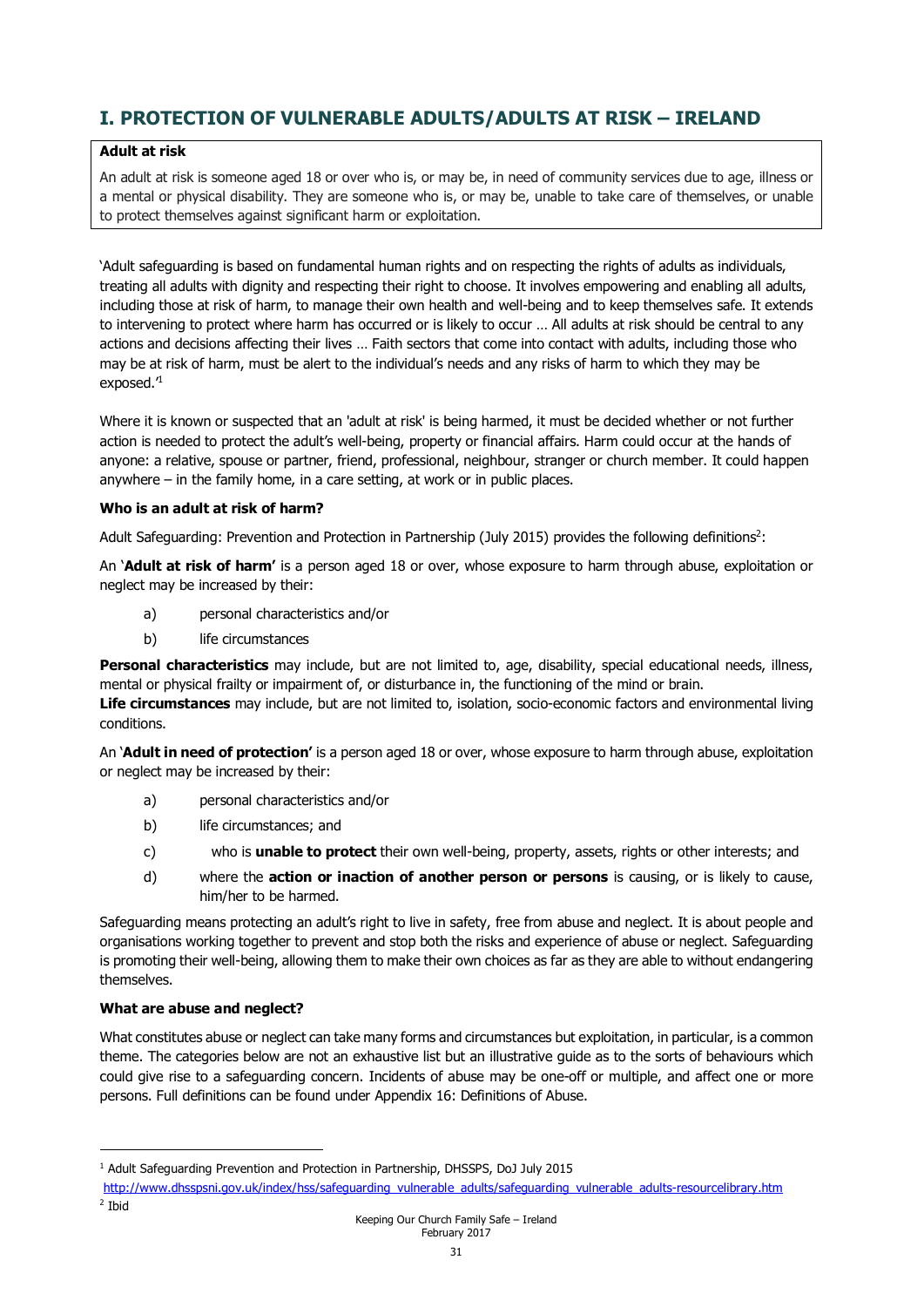# **I. PROTECTION OF VULNERABLE ADULTS/ADULTS AT RISK – IRELAND**

#### **Adult at risk**

An adult at risk is someone aged 18 or over who is, or may be, in need of community services due to age, illness or a mental or physical disability. They are someone who is, or may be, unable to take care of themselves, or unable to protect themselves against significant harm or exploitation.

'Adult safeguarding is based on fundamental human rights and on respecting the rights of adults as individuals, treating all adults with dignity and respecting their right to choose. It involves empowering and enabling all adults, including those at risk of harm, to manage their own health and well-being and to keep themselves safe. It extends to intervening to protect where harm has occurred or is likely to occur … All adults at risk should be central to any actions and decisions affecting their lives … Faith sectors that come into contact with adults, including those who may be at risk of harm, must be alert to the individual's needs and any risks of harm to which they may be exposed.<sup>1</sup>

Where it is known or suspected that an 'adult at risk' is being harmed, it must be decided whether or not further action is needed to protect the adult's well-being, property or financial affairs. Harm could occur at the hands of anyone: a relative, spouse or partner, friend, professional, neighbour, stranger or church member. It could happen anywhere – in the family home, in a care setting, at work or in public places.

## **Who is an adult at risk of harm?**

Adult Safeguarding: Prevention and Protection in Partnership (July 2015) provides the following definitions<sup>2</sup>:

An '**Adult at risk of harm'** is a person aged 18 or over, whose exposure to harm through abuse, exploitation or neglect may be increased by their:

- a) personal characteristics and/or
- b) life circumstances

**Personal characteristics** may include, but are not limited to, age, disability, special educational needs, illness, mental or physical frailty or impairment of, or disturbance in, the functioning of the mind or brain. **Life circumstances** may include, but are not limited to, isolation, socio-economic factors and environmental living conditions.

An '**Adult in need of protection'** is a person aged 18 or over, whose exposure to harm through abuse, exploitation or neglect may be increased by their:

- a) personal characteristics and/or
- b) life circumstances; and
- c) who is **unable to protect** their own well-being, property, assets, rights or other interests; and
- d) where the **action or inaction of another person or persons** is causing, or is likely to cause, him/her to be harmed.

Safeguarding means protecting an adult's right to live in safety, free from abuse and neglect. It is about people and organisations working together to prevent and stop both the risks and experience of abuse or neglect. Safeguarding is promoting their well-being, allowing them to make their own choices as far as they are able to without endangering themselves.

## **What are abuse and neglect?**

What constitutes abuse or neglect can take many forms and circumstances but exploitation, in particular, is a common theme. The categories below are not an exhaustive list but an illustrative guide as to the sorts of behaviours which could give rise to a safeguarding concern. Incidents of abuse may be one-off or multiple, and affect one or more persons. Full definitions can be found under Appendix 16: Definitions of Abuse.

<sup>2</sup> Ibid

-

<sup>&</sup>lt;sup>1</sup> Adult Safeguarding Prevention and Protection in Partnership, DHSSPS, DoJ July 2015

http://www.dhsspsni.gov.uk/index/hss/safeguarding\_vulnerable\_adults/safeguarding\_vulnerable\_adults-resourcelibrary.htm